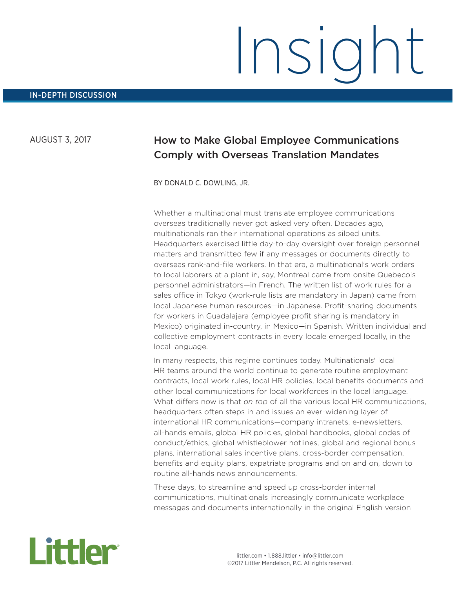AUGUST 3, 2017

# How to Make Global Employee Communications Comply with Overseas Translation Mandates

BY DONALD C. DOWLING, JR.

Whether a multinational must translate employee communications overseas traditionally never got asked very often. Decades ago, multinationals ran their international operations as siloed units. Headquarters exercised little day-to-day oversight over foreign personnel matters and transmitted few if any messages or documents directly to overseas rank-and-file workers. In that era, a multinational's work orders to local laborers at a plant in, say, Montreal came from onsite Quebecois personnel administrators—in French. The written list of work rules for a sales office in Tokyo (work-rule lists are mandatory in Japan) came from local Japanese human resources—in Japanese. Profit-sharing documents for workers in Guadalajara (employee profit sharing is mandatory in Mexico) originated in-country, in Mexico—in Spanish. Written individual and collective employment contracts in every locale emerged locally, in the local language.

In many respects, this regime continues today. Multinationals' local HR teams around the world continue to generate routine employment contracts, local work rules, local HR policies, local benefits documents and other local communications for local workforces in the local language. What differs now is that *on top* of all the various local HR communications, headquarters often steps in and issues an ever-widening layer of international HR communications—company intranets, e-newsletters, all-hands emails, global HR policies, global handbooks, global codes of conduct/ethics, global whistleblower hotlines, global and regional bonus plans, international sales incentive plans, cross-border compensation, benefits and equity plans, expatriate programs and on and on, down to routine all-hands news announcements.

These days, to streamline and speed up cross-border internal communications, multinationals increasingly communicate workplace messages and documents internationally in the original English version

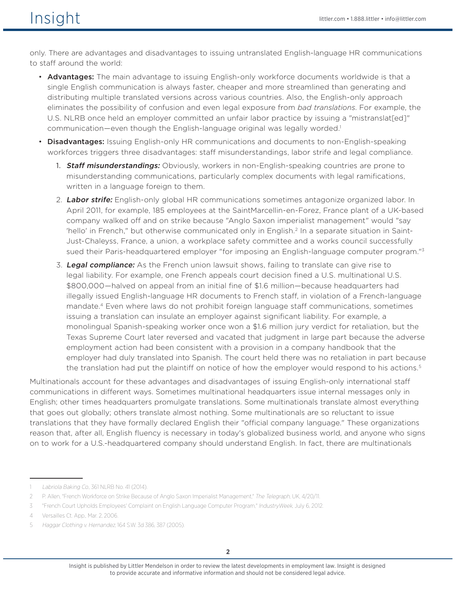only. There are advantages and disadvantages to issuing untranslated English-language HR communications to staff around the world:

- **Advantages:** The main advantage to issuing English-only workforce documents worldwide is that a single English communication is always faster, cheaper and more streamlined than generating and distributing multiple translated versions across various countries. Also, the English-only approach eliminates the possibility of confusion and even legal exposure from *bad translations*. For example, the U.S. NLRB once held an employer committed an unfair labor practice by issuing a "mistranslat[ed]" communication—even though the English-language original was legally worded.<sup>1</sup>
- Disadvantages: Issuing English-only HR communications and documents to non-English-speaking workforces triggers three disadvantages: staff misunderstandings, labor strife and legal compliance.
	- 1. **Staff misunderstandings:** Obviously, workers in non-English-speaking countries are prone to misunderstanding communications, particularly complex documents with legal ramifications, written in a language foreign to them.
	- 2. Labor strife: English-only global HR communications sometimes antagonize organized labor. In April 2011, for example, 185 employees at the SaintMarcellin-en-Forez, France plant of a UK-based company walked off and on strike because "Anglo Saxon imperialist management" would "say 'hello' in French," but otherwise communicated only in English.2 In a separate situation in Saint-Just-Chaleyss, France, a union, a workplace safety committee and a works council successfully sued their Paris-headquartered employer "for imposing an English-language computer program."3
	- 3. **Legal compliance:** As the French union lawsuit shows, failing to translate can give rise to legal liability. For example, one French appeals court decision fined a U.S. multinational U.S. \$800,000—halved on appeal from an initial fine of \$1.6 million—because headquarters had illegally issued English-language HR documents to French staff, in violation of a French-language mandate.4 Even where laws do not prohibit foreign language staff communications, sometimes issuing a translation can insulate an employer against significant liability. For example, a monolingual Spanish-speaking worker once won a \$1.6 million jury verdict for retaliation, but the Texas Supreme Court later reversed and vacated that judgment in large part because the adverse employment action had been consistent with a provision in a company handbook that the employer had duly translated into Spanish. The court held there was no retaliation in part because the translation had put the plaintiff on notice of how the employer would respond to his actions.<sup>5</sup>

Multinationals account for these advantages and disadvantages of issuing English-only international staff communications in different ways. Sometimes multinational headquarters issue internal messages only in English; other times headquarters promulgate translations. Some multinationals translate almost everything that goes out globally; others translate almost nothing. Some multinationals are so reluctant to issue translations that they have formally declared English their "official company language." These organizations reason that, after all, English fluency is necessary in today's globalized business world, and anyone who signs on to work for a U.S.-headquartered company should understand English. In fact, there are multinationals

Labriola Baking Co., 361 NLRB No. 41 (2014).

<sup>2</sup> P. Allen, "French Workforce on Strike Because of Anglo Saxon Imperialist Management," The Telegraph, UK, 4/20/11.

<sup>3</sup> "French Court Upholds Employees' Complaint on English Language Computer Program," lndustryWeek, July 6, 2012.

<sup>4</sup> Versailles Ct. App., Mar. 2, 2006.

<sup>5</sup> Haggar Clothing v. Hernandez, 164 S.W. 3d 386, 387 (2005).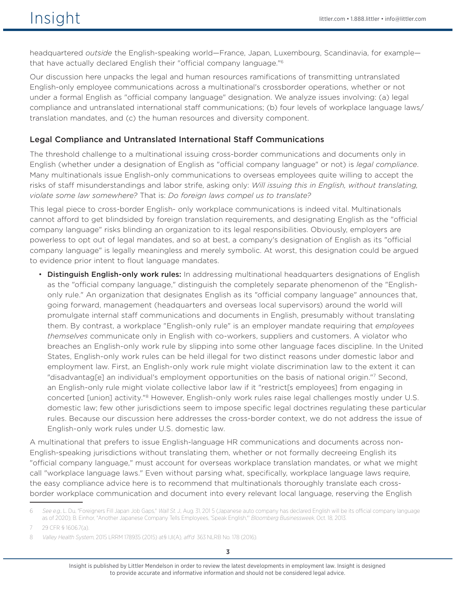headquartered *outside* the English-speaking world—France, Japan, Luxembourg, Scandinavia, for example that have actually declared English their "official company language."6

Our discussion here unpacks the legal and human resources ramifications of transmitting untranslated English-only employee communications across a multinational's crossborder operations, whether or not under a formal English as "official company language" designation. We analyze issues involving: (a) legal compliance and untranslated international staff communications; (b) four levels of workplace language laws/ translation mandates, and (c) the human resources and diversity component.

### Legal Compliance and Untranslated International Staff Communications

The threshold challenge to a multinational issuing cross-border communications and documents only in English (whether under a designation of English as "official company language" or not) is *legal compliance*. Many multinationals issue English-only communications to overseas employees quite willing to accept the risks of staff misunderstandings and labor strife, asking only: *Will issuing this in English, without translating, violate some law somewhere?* That is: *Do foreign laws compel us to translate?*

This legal piece to cross-border English- only workplace communications is indeed vital. Multinationals cannot afford to get blindsided by foreign translation requirements, and designating English as the "official company language" risks blinding an organization to its legal responsibilities. Obviously, employers are powerless to opt out of legal mandates, and so at best, a company's designation of English as its "official company language" is legally meaningless and merely symbolic. At worst, this designation could be argued to evidence prior intent to flout language mandates.

• Distinguish English-only work rules: In addressing multinational headquarters designations of English as the "official company language," distinguish the completely separate phenomenon of the "Englishonly rule." An organization that designates English as its "official company language" announces that, going forward, management (headquarters and overseas local supervisors) around the world will promulgate internal staff communications and documents in English, presumably without translating them. By contrast, a workplace "English-only rule" is an employer mandate requiring that *employees themselves* communicate only in English with co-workers, suppliers and customers. A violator who breaches an English-only work rule by slipping into some other language faces discipline. In the United States, English-only work rules can be held illegal for two distinct reasons under domestic labor and employment law. First, an English-only work rule might violate discrimination law to the extent it can "disadvantag[e] an individual's employment opportunities on the basis of national origin."7 Second, an English-only rule might violate collective labor law if it "restrict[s employees] from engaging in concerted [union] activity."<sup>8</sup> However, English-only work rules raise legal challenges mostly under U.S. domestic law; few other jurisdictions seem to impose specific legal doctrines regulating these particular rules. Because our discussion here addresses the cross-border context, we do not address the issue of English-only work rules under U.S. domestic law.

A multinational that prefers to issue English-language HR communications and documents across non-English-speaking jurisdictions without translating them, whether or not formally decreeing English its "official company language," must account for overseas workplace translation mandates, or what we might call "workplace language laws." Even without parsing what, specifically, workplace language laws require, the easy compliance advice here is to recommend that multinationals thoroughly translate each crossborder workplace communication and document into every relevant local language, reserving the English

<sup>6</sup> See e.g., L. Du, "Foreigners Fill Japan Job Gaps," Wall St. J., Aug. 31, 201 5 (Japanese auto company has declared English will be its official company language as of 2020); B. Einhor, "Another Japanese Company Tells Employees, 'Speak English,"' Bloomberg Businessweek, Oct. 18, 2013.

<sup>7</sup> 29 CFR § 1606.7(a).

<sup>8</sup> Valley Health System, 2015 LRRM 178935 (2015) at§ IJI(A), aff'd 363 NLRB No. 178 (2016).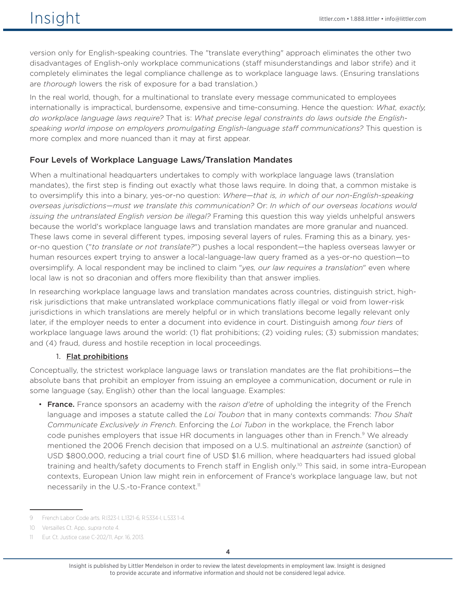version only for English-speaking countries. The "translate everything" approach eliminates the other two disadvantages of English-only workplace communications (staff misunderstandings and labor strife) and it completely eliminates the legal compliance challenge as to workplace language laws. (Ensuring translations are *thorough* lowers the risk of exposure for a bad translation.)

In the real world, though, for a multinational to translate every message communicated to employees internationally is impractical, burdensome, expensive and time-consuming. Hence the question: *What, exactly, do workplace language laws require?* That is: *What precise legal constraints do laws outside the Englishspeaking world impose on employers promulgating English-language staff communications?* This question is more complex and more nuanced than it may at first appear.

# Four Levels of Workplace Language Laws/Translation Mandates

When a multinational headquarters undertakes to comply with workplace language laws (translation mandates), the first step is finding out exactly what those laws require. In doing that, a common mistake is to oversimplify this into a binary, yes-or-no question: *Where—that is, in which of our non-English-speaking overseas jurisdictions—must we translate this communication?* Or: *In which of our overseas locations would issuing the untranslated English version be illegal?* Framing this question this way yields unhelpful answers because the world's workplace language laws and translation mandates are more granular and nuanced. These laws come in several different types, imposing several layers of rules. Framing this as a binary, yesor-no question ("*to translate or not translate?*") pushes a local respondent—the hapless overseas lawyer or human resources expert trying to answer a local-language-law query framed as a yes-or-no question—to oversimplify. A local respondent may be inclined to claim "*yes, our law requires a translation*" even where local law is not so draconian and offers more flexibility than that answer implies.

In researching workplace language laws and translation mandates across countries, distinguish strict, highrisk jurisdictions that make untranslated workplace communications flatly illegal or void from lower-risk jurisdictions in which translations are merely helpful or in which translations become legally relevant only later, if the employer needs to enter a document into evidence in court. Distinguish among *four tiers* of workplace language laws around the world: (1) flat prohibitions; (2) voiding rules; (3) submission mandates; and (4) fraud, duress and hostile reception in local proceedings.

### 1. Flat prohibitions

Conceptually, the strictest workplace language laws or translation mandates are the flat prohibitions—the absolute bans that prohibit an employer from issuing an employee a communication, document or rule in some language (say, English) other than the local language. Examples:

• France. France sponsors an academy with the *raison d'etre* of upholding the integrity of the French language and imposes a statute called the *Loi Toubon* that in many contexts commands: *Thou Shalt Communicate Exclusively in French*. Enforcing the *Loi Tubon* in the workplace, the French labor code punishes employers that issue HR documents in languages other than in French.<sup>9</sup> We already mentioned the 2006 French decision that imposed on a U.S. multinational an *astreinte* (sanction) of USD \$800,000, reducing a trial court fine of USD \$1.6 million, where headquarters had issued global training and health/safety documents to French staff in English only.10 This said, in some intra-European contexts, European Union law might rein in enforcement of France's workplace language law, but not necessarily in the U.S.-to-France context.<sup>11</sup>

<sup>9</sup> French Labor Code arts. R.l323-l. L.1321-6, R.5334-l, L.533 1-4.

<sup>10</sup> Versailles Ct. App., supra note 4.

<sup>11</sup> Eur. Ct. Justice case C-202/11, Apr. 16, 2013.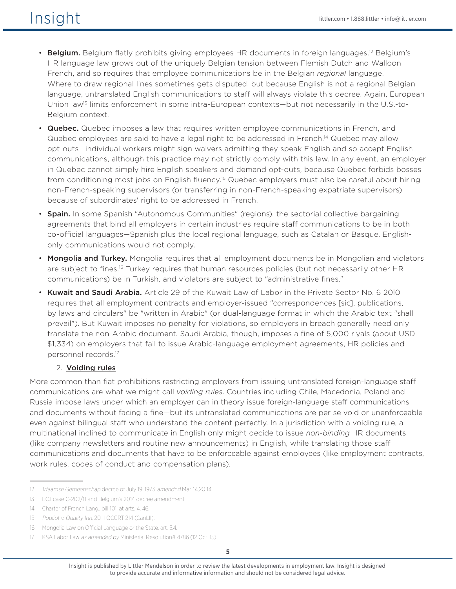- Belgium. Belgium flatly prohibits giving employees HR documents in foreign languages.<sup>12</sup> Belgium's HR language law grows out of the uniquely Belgian tension between Flemish Dutch and Walloon French, and so requires that employee communications be in the Belgian *regional* language. Where to draw regional lines sometimes gets disputed, but because English is not a regional Belgian language, untranslated English communications to staff will always violate this decree. Again, European Union law<sup>13</sup> limits enforcement in some intra-European contexts—but not necessarily in the U.S.-to-Belgium context.
- Quebec. Quebec imposes a law that requires written employee communications in French, and Quebec employees are said to have a legal right to be addressed in French.<sup>14</sup> Quebec may allow opt-outs—individual workers might sign waivers admitting they speak English and so accept English communications, although this practice may not strictly comply with this law. In any event, an employer in Quebec cannot simply hire English speakers and demand opt-outs, because Quebec forbids bosses from conditioning most jobs on English fluency.<sup>15</sup> Quebec employers must also be careful about hiring non-French-speaking supervisors (or transferring in non-French-speaking expatriate supervisors) because of subordinates' right to be addressed in French.
- Spain. In some Spanish "Autonomous Communities" (regions), the sectorial collective bargaining agreements that bind all employers in certain industries require staff communications to be in both co-official languages—Spanish plus the local regional language, such as Catalan or Basque. Englishonly communications would not comply.
- Mongolia and Turkey. Mongolia requires that all employment documents be in Mongolian and violators are subject to fines.<sup>16</sup> Turkey requires that human resources policies (but not necessarily other HR communications) be in Turkish, and violators are subject to "administrative fines."
- Kuwait and Saudi Arabia. Article 29 of the Kuwait Law of Labor in the Private Sector No. 6 2010 requires that all employment contracts and employer-issued "correspondences [sic], publications, by laws and circulars" be "written in Arabic" (or dual-language format in which the Arabic text "shall prevail"). But Kuwait imposes no penalty for violations, so employers in breach generally need only translate the non-Arabic document. Saudi Arabia, though, imposes a fine of 5,000 riyals (about USD \$1,334) on employers that fail to issue Arabic-language employment agreements, HR policies and personnel records.17

# 2. Voiding rules

More common than fiat prohibitions restricting employers from issuing untranslated foreign-language staff communications are what we might call *voiding rules*. Countries including Chile, Macedonia, Poland and Russia impose laws under which an employer can in theory issue foreign-language staff communications and documents without facing a fine—but its untranslated communications are per se void or unenforceable even against bilingual staff who understand the content perfectly. In a jurisdiction with a voiding rule, a multinational inclined to communicate in English only might decide to issue *non-binding* HR documents (like company newsletters and routine new announcements) in English, while translating those staff communications and documents that have to be enforceable against employees (like employment contracts, work rules, codes of conduct and compensation plans).

<sup>12</sup> Vfaamse Gemeenschap decree of July 19, 1973, amended Mar. 14,20 14.

<sup>13</sup> ECJ case C-202/11 and Belgium's 2014 decree amendment.

<sup>14</sup> Charter of French Lang., bill 101, at arts. 4, 46.

<sup>15</sup> Pouliot v. Quality Inn, 20 II QCCRT 214 (CanLII).

<sup>16</sup> Mongolia Law on Official Language or the State, art. 5.4.

<sup>17</sup> KSA Labor Law as amended by Ministerial Resolution# 4786 (12 Oct. 15).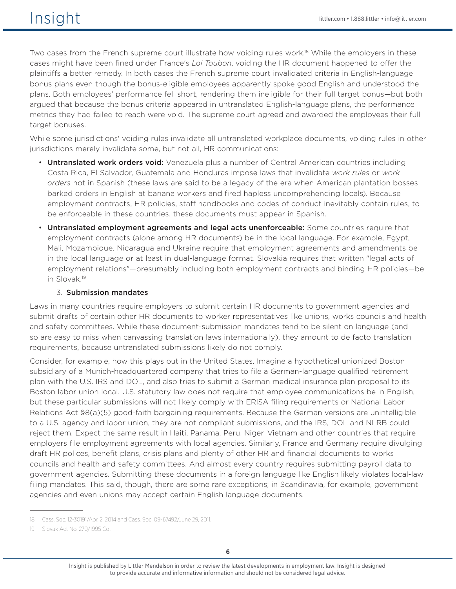Two cases from the French supreme court illustrate how voiding rules work.<sup>18</sup> While the employers in these cases might have been fined under France's *Loi Toubon*, voiding the HR document happened to offer the plaintiffs a better remedy. In both cases the French supreme court invalidated criteria in English-language bonus plans even though the bonus-eligible employees apparently spoke good English and understood the plans. Both employees' performance fell short, rendering them ineligible for their full target bonus—but both argued that because the bonus criteria appeared in untranslated English-language plans, the performance metrics they had failed to reach were void. The supreme court agreed and awarded the employees their full target bonuses.

While some jurisdictions' voiding rules invalidate all untranslated workplace documents, voiding rules in other jurisdictions merely invalidate some, but not all, HR communications:

- Untranslated work orders void: Venezuela plus a number of Central American countries including Costa Rica, El Salvador, Guatemala and Honduras impose laws that invalidate *work rules* or *work orders* not in Spanish (these laws are said to be a legacy of the era when American plantation bosses barked orders in English at banana workers and fired hapless uncomprehending locals). Because employment contracts, HR policies, staff handbooks and codes of conduct inevitably contain rules, to be enforceable in these countries, these documents must appear in Spanish.
- Untranslated employment agreements and legal acts unenforceable: Some countries require that employment contracts (alone among HR documents) be in the local language. For example, Egypt, Mali, Mozambique, Nicaragua and Ukraine require that employment agreements and amendments be in the local language or at least in dual-language format. Slovakia requires that written "legal acts of employment relations"—presumably including both employment contracts and binding HR policies—be in Slovak.19

### 3. Submission mandates

Laws in many countries require employers to submit certain HR documents to government agencies and submit drafts of certain other HR documents to worker representatives like unions, works councils and health and safety committees. While these document-submission mandates tend to be silent on language (and so are easy to miss when canvassing translation laws internationally), they amount to de facto translation requirements, because untranslated submissions likely do not comply.

Consider, for example, how this plays out in the United States. Imagine a hypothetical unionized Boston subsidiary of a Munich-headquartered company that tries to file a German-language qualified retirement plan with the U.S. IRS and DOL, and also tries to submit a German medical insurance plan proposal to its Boston labor union local. U.S. statutory law does not require that employee communications be in English, but these particular submissions will not likely comply with ERISA filing requirements or National Labor Relations Act §8(a)(5) good-faith bargaining requirements. Because the German versions are unintelligible to a U.S. agency and labor union, they are not compliant submissions, and the IRS, DOL and NLRB could reject them. Expect the same result in Haiti, Panama, Peru, Niger, Vietnam and other countries that require employers file employment agreements with local agencies. Similarly, France and Germany require divulging draft HR polices, benefit plans, crisis plans and plenty of other HR and financial documents to works councils and health and safety committees. And almost every country requires submitting payroll data to government agencies. Submitting these documents in a foreign language like English likely violates local-law filing mandates. This said, though, there are some rare exceptions; in Scandinavia, for example, government agencies and even unions may accept certain English language documents.

<sup>18</sup> Cass. Soc. 12-30191/Apr. 2, 2014 and Cass. Soc. 09-67492/June 29, 2011.

<sup>19</sup> Slovak Act No. 270/1995 Col.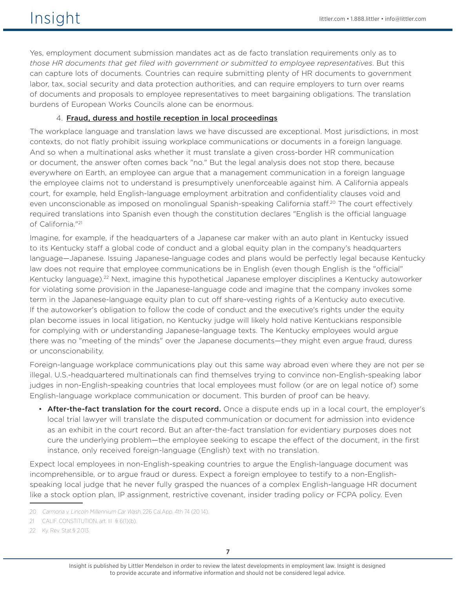Yes, employment document submission mandates act as de facto translation requirements only as to *those HR documents that get filed with government or submitted to employee representatives*. But this can capture lots of documents. Countries can require submitting plenty of HR documents to government labor, tax, social security and data protection authorities, and can require employers to turn over reams of documents and proposals to employee representatives to meet bargaining obligations. The translation burdens of European Works Councils alone can be enormous.

### 4. Fraud, duress and hostile reception in local proceedings

The workplace language and translation laws we have discussed are exceptional. Most jurisdictions, in most contexts, do not flatly prohibit issuing workplace communications or documents in a foreign language. And so when a multinational asks whether it must translate a given cross-border HR communication or document, the answer often comes back "no." But the legal analysis does not stop there, because everywhere on Earth, an employee can argue that a management communication in a foreign language the employee claims not to understand is presumptively unenforceable against him. A California appeals court, for example, held English-language employment arbitration and confidentiality clauses void and even unconscionable as imposed on monolingual Spanish-speaking California staff.<sup>20</sup> The court effectively required translations into Spanish even though the constitution declares "English is the official language of California."21

Imagine, for example, if the headquarters of a Japanese car maker with an auto plant in Kentucky issued to its Kentucky staff a global code of conduct and a global equity plan in the company's headquarters language—Japanese. Issuing Japanese-language codes and plans would be perfectly legal because Kentucky law does not require that employee communications be in English (even though English is the "official" Kentucky language).<sup>22</sup> Next, imagine this hypothetical Japanese employer disciplines a Kentucky autoworker for violating some provision in the Japanese-language code and imagine that the company invokes some term in the Japanese-language equity plan to cut off share-vesting rights of a Kentucky auto executive. If the autoworker's obligation to follow the code of conduct and the executive's rights under the equity plan become issues in local litigation, no Kentucky judge will likely hold native Kentuckians responsible for complying with or understanding Japanese-language texts. The Kentucky employees would argue there was no "meeting of the minds" over the Japanese documents—they might even argue fraud, duress or unconscionability.

Foreign-language workplace communications play out this same way abroad even where they are not per se illegal. U.S.-headquartered multinationals can find themselves trying to convince non-English-speaking labor judges in non-English-speaking countries that local employees must follow (or are on legal notice of) some English-language workplace communication or document. This burden of proof can be heavy.

• After-the-fact translation for the court record. Once a dispute ends up in a local court, the employer's local trial lawyer will translate the disputed communication or document for admission into evidence as an exhibit in the court record. But an after-the-fact translation for evidentiary purposes does not cure the underlying problem—the employee seeking to escape the effect of the document, in the first instance, only received foreign-language (English) text with no translation.

Expect local employees in non-English-speaking countries to argue the English-language document was incomprehensible, or to argue fraud or duress. Expect a foreign employee to testify to a non-Englishspeaking local judge that he never fully grasped the nuances of a complex English-language HR document like a stock option plan, IP assignment, restrictive covenant, insider trading policy or FCPA policy. Even

<sup>20</sup> Carmona v. Lincoln Millennium Car Wash, 226 Cal. App. 4th 74 (20 14).

<sup>21</sup> CALIF. CONSTITUTION, art. III § 6(1)(b).

<sup>22</sup> Ky. Rev. Stat.§ 2.013.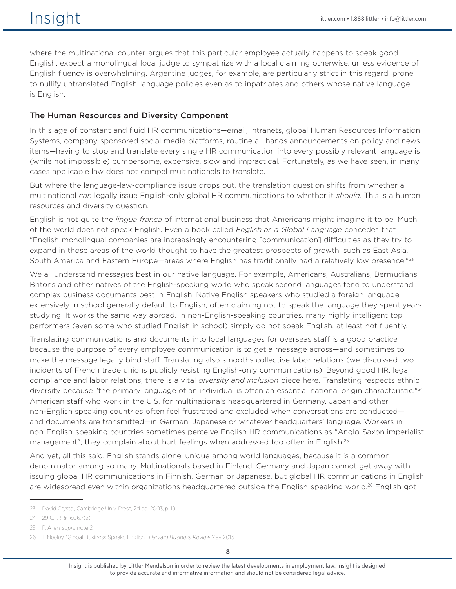where the multinational counter-argues that this particular employee actually happens to speak good English, expect a monolingual local judge to sympathize with a local claiming otherwise, unless evidence of English fluency is overwhelming. Argentine judges, for example, are particularly strict in this regard, prone to nullify untranslated English-language policies even as to inpatriates and others whose native language is English.

# The Human Resources and Diversity Component

In this age of constant and fluid HR communications—email, intranets, global Human Resources Information Systems, company-sponsored social media platforms, routine all-hands announcements on policy and news items—having to stop and translate every single HR communication into every possibly relevant language is (while not impossible) cumbersome, expensive, slow and impractical. Fortunately, as we have seen, in many cases applicable law does not compel multinationals to translate.

But where the language-law-compliance issue drops out, the translation question shifts from whether a multinational *can* legally issue English-only global HR communications to whether it *should*. This is a human resources and diversity question.

English is not quite the *lingua franca* of international business that Americans might imagine it to be. Much of the world does not speak English. Even a book called *English as a Global Language* concedes that "English-monolingual companies are increasingly encountering [communication] difficulties as they try to expand in those areas of the world thought to have the greatest prospects of growth, such as East Asia, South America and Eastern Europe—areas where English has traditionally had a relatively low presence."<sup>23</sup>

We all understand messages best in our native language. For example, Americans, Australians, Bermudians, Britons and other natives of the English-speaking world who speak second languages tend to understand complex business documents best in English. Native English speakers who studied a foreign language extensively in school generally default to English, often claiming not to speak the language they spent years studying. It works the same way abroad. In non-English-speaking countries, many highly intelligent top performers (even some who studied English in school) simply do not speak English, at least not fluently.

Translating communications and documents into local languages for overseas staff is a good practice because the purpose of every employee communication is to get a message across—and sometimes to make the message legally bind staff. Translating also smooths collective labor relations (we discussed two incidents of French trade unions publicly resisting English-only communications). Beyond good HR, legal compliance and labor relations, there is a vital *diversity and inclusion* piece here. Translating respects ethnic diversity because "the primary language of an individual is often an essential national origin characteristic."<sup>24</sup> American staff who work in the U.S. for multinationals headquartered in Germany, Japan and other non-English speaking countries often feel frustrated and excluded when conversations are conducted and documents are transmitted—in German, Japanese or whatever headquarters' language. Workers in non-English-speaking countries sometimes perceive English HR communications as "Anglo-Saxon imperialist management"; they complain about hurt feelings when addressed too often in English.<sup>25</sup>

And yet, all this said, English stands alone, unique among world languages, because it is a common denominator among so many. Multinationals based in Finland, Germany and Japan cannot get away with issuing global HR communications in Finnish, German or Japanese, but global HR communications in English are widespread even within organizations headquartered outside the English-speaking world.<sup>26</sup> English got

<sup>23</sup> David Crystal, Cambridge Univ. Press, 2d ed. 2003, p. 19.

<sup>24</sup> 29 C.F.R. § 1606.7(a).

<sup>25</sup> P. Allen, *supra* note 2.

<sup>26</sup> T. Neeley, "Global Business Speaks English," Harvard Business Review May 2013.